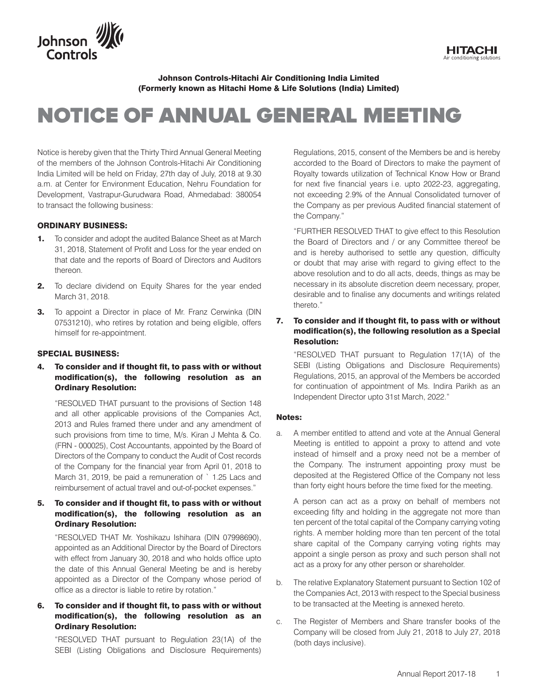

Johnson Controls-Hitachi Air Conditioning India Limited (Formerly known as Hitachi Home & Life Solutions (India) Limited)

# NOTICE OF ANNUAL GENERAL MEETING

Notice is hereby given that the Thirty Third Annual General Meeting of the members of the Johnson Controls-Hitachi Air Conditioning India Limited will be held on Friday, 27th day of July, 2018 at 9.30 a.m. at Center for Environment Education, Nehru Foundation for Development, Vastrapur-Gurudwara Road, Ahmedabad: 380054 to transact the following business:

#### ORDINARY BUSINESS:

- **1.** To consider and adopt the audited Balance Sheet as at March 31, 2018, Statement of Profit and Loss for the year ended on that date and the reports of Board of Directors and Auditors thereon.
- **2.** To declare dividend on Equity Shares for the year ended March 31, 2018.
- **3.** To appoint a Director in place of Mr. Franz Cerwinka (DIN 07531210), who retires by rotation and being eligible, offers himself for re-appointment.

#### SPECIAL BUSINESS:

4. To consider and if thought fit, to pass with or without modification(s), the following resolution as an Ordinary Resolution:

 "RESOLVED THAT pursuant to the provisions of Section 148 and all other applicable provisions of the Companies Act, 2013 and Rules framed there under and any amendment of such provisions from time to time, M/s. Kiran J Mehta & Co. (FRN - 000025), Cost Accountants, appointed by the Board of Directors of the Company to conduct the Audit of Cost records of the Company for the financial year from April 01, 2018 to March 31, 2019, be paid a remuneration of ` 1.25 Lacs and reimbursement of actual travel and out-of-pocket expenses."

# 5. To consider and if thought fit, to pass with or without modification(s), the following resolution as an Ordinary Resolution:

 "RESOLVED THAT Mr. Yoshikazu Ishihara (DIN 07998690), appointed as an Additional Director by the Board of Directors with effect from January 30, 2018 and who holds office upto the date of this Annual General Meeting be and is hereby appointed as a Director of the Company whose period of office as a director is liable to retire by rotation."

# 6. To consider and if thought fit, to pass with or without modification(s), the following resolution as an Ordinary Resolution:

 "RESOLVED THAT pursuant to Regulation 23(1A) of the SEBI (Listing Obligations and Disclosure Requirements)

Regulations, 2015, consent of the Members be and is hereby accorded to the Board of Directors to make the payment of Royalty towards utilization of Technical Know How or Brand for next five financial years i.e. upto 2022-23, aggregating, not exceeding 2.9% of the Annual Consolidated turnover of the Company as per previous Audited financial statement of the Company."

**HITACHI** 

 "FURTHER RESOLVED THAT to give effect to this Resolution the Board of Directors and / or any Committee thereof be and is hereby authorised to settle any question, difficulty or doubt that may arise with regard to giving effect to the above resolution and to do all acts, deeds, things as may be necessary in its absolute discretion deem necessary, proper, desirable and to finalise any documents and writings related thereto."

#### 7. To consider and if thought fit, to pass with or without modification(s), the following resolution as a Special Resolution:

 "RESOLVED THAT pursuant to Regulation 17(1A) of the SEBI (Listing Obligations and Disclosure Requirements) Regulations, 2015, an approval of the Members be accorded for continuation of appointment of Ms. Indira Parikh as an Independent Director upto 31st March, 2022."

#### Notes:

a. A member entitled to attend and vote at the Annual General Meeting is entitled to appoint a proxy to attend and vote instead of himself and a proxy need not be a member of the Company. The instrument appointing proxy must be deposited at the Registered Office of the Company not less than forty eight hours before the time fixed for the meeting.

 A person can act as a proxy on behalf of members not exceeding fifty and holding in the aggregate not more than ten percent of the total capital of the Company carrying voting rights. A member holding more than ten percent of the total share capital of the Company carrying voting rights may appoint a single person as proxy and such person shall not act as a proxy for any other person or shareholder.

- b. The relative Explanatory Statement pursuant to Section 102 of the Companies Act, 2013 with respect to the Special business to be transacted at the Meeting is annexed hereto.
- c. The Register of Members and Share transfer books of the Company will be closed from July 21, 2018 to July 27, 2018 (both days inclusive).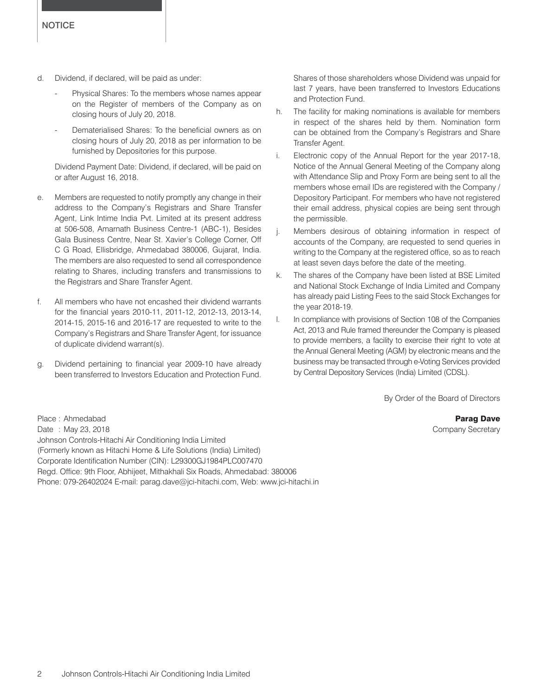- d. Dividend, if declared, will be paid as under:
	- Physical Shares: To the members whose names appear on the Register of members of the Company as on closing hours of July 20, 2018.
	- Dematerialised Shares: To the beneficial owners as on closing hours of July 20, 2018 as per information to be furnished by Depositories for this purpose.

 Dividend Payment Date: Dividend, if declared, will be paid on or after August 16, 2018.

- e. Members are requested to notify promptly any change in their address to the Company's Registrars and Share Transfer Agent, Link Intime India Pvt. Limited at its present address at 506-508, Amarnath Business Centre-1 (ABC-1), Besides Gala Business Centre, Near St. Xavier's College Corner, Off C G Road, Ellisbridge, Ahmedabad 380006, Gujarat, India. The members are also requested to send all correspondence relating to Shares, including transfers and transmissions to the Registrars and Share Transfer Agent.
- f. All members who have not encashed their dividend warrants for the financial years 2010-11, 2011-12, 2012-13, 2013-14, 2014-15, 2015-16 and 2016-17 are requested to write to the Company's Registrars and Share Transfer Agent, for issuance of duplicate dividend warrant(s).
- g. Dividend pertaining to financial year 2009-10 have already been transferred to Investors Education and Protection Fund.

Shares of those shareholders whose Dividend was unpaid for last 7 years, have been transferred to Investors Educations and Protection Fund.

- h. The facility for making nominations is available for members in respect of the shares held by them. Nomination form can be obtained from the Company's Registrars and Share Transfer Agent.
- i. Electronic copy of the Annual Report for the year 2017-18, Notice of the Annual General Meeting of the Company along with Attendance Slip and Proxy Form are being sent to all the members whose email IDs are registered with the Company / Depository Participant. For members who have not registered their email address, physical copies are being sent through the permissible.
- j. Members desirous of obtaining information in respect of accounts of the Company, are requested to send queries in writing to the Company at the registered office, so as to reach at least seven days before the date of the meeting.
- k. The shares of the Company have been listed at BSE Limited and National Stock Exchange of India Limited and Company has already paid Listing Fees to the said Stock Exchanges for the year 2018-19.
- l. In compliance with provisions of Section 108 of the Companies Act, 2013 and Rule framed thereunder the Company is pleased to provide members, a facility to exercise their right to vote at the Annual General Meeting (AGM) by electronic means and the business may be transacted through e-Voting Services provided by Central Depository Services (India) Limited (CDSL).

By Order of the Board of Directors

Place : Ahmedabad **Parag Dave Parag Dave Parag Dave Parag Dave Parag Dave Parag Dave Parag Dave Parag Dave Parag Dave Parag Dave Parag Dave Parag Dave Parag Dave Parag Dave Parag Dave Parag Dave Parag Dave Parag Dave Parag** Date : May 23, 2018 **Company Secretary** 23, 2018 Johnson Controls-Hitachi Air Conditioning India Limited (Formerly known as Hitachi Home & Life Solutions (India) Limited) Corporate Identification Number (CIN): L29300GJ1984PLC007470 Regd. Office: 9th Floor, Abhijeet, Mithakhali Six Roads, Ahmedabad: 380006 Phone: 079-26402024 E-mail: parag.dave@jci-hitachi.com, Web: www.jci-hitachi.in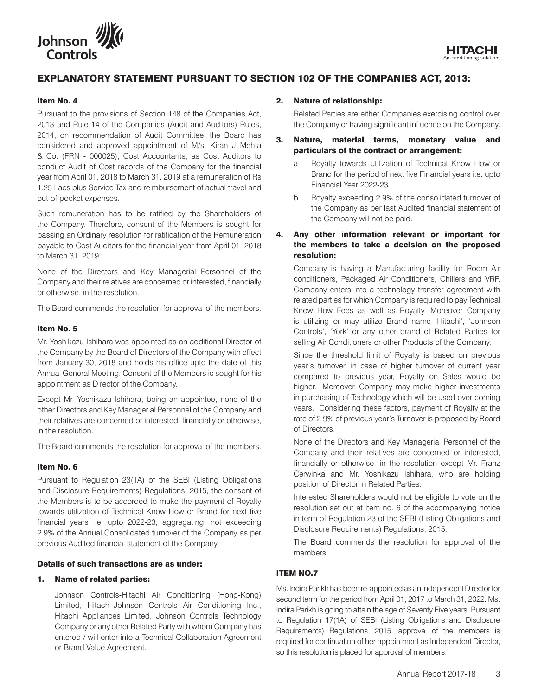

# EXPLANATORY STATEMENT PURSUANT TO SECTION 102 OF THE COMPANIES ACT, 2013:

#### Item No. 4

Pursuant to the provisions of Section 148 of the Companies Act, 2013 and Rule 14 of the Companies (Audit and Auditors) Rules, 2014, on recommendation of Audit Committee, the Board has considered and approved appointment of M/s. Kiran J Mehta & Co. (FRN - 000025), Cost Accountants, as Cost Auditors to conduct Audit of Cost records of the Company for the financial year from April 01, 2018 to March 31, 2019 at a remuneration of Rs 1.25 Lacs plus Service Tax and reimbursement of actual travel and out-of-pocket expenses.

Such remuneration has to be ratified by the Shareholders of the Company. Therefore, consent of the Members is sought for passing an Ordinary resolution for ratification of the Remuneration payable to Cost Auditors for the financial year from April 01, 2018 to March 31, 2019.

None of the Directors and Key Managerial Personnel of the Company and their relatives are concerned or interested, financially or otherwise, in the resolution.

The Board commends the resolution for approval of the members.

#### Item No. 5

Mr. Yoshikazu Ishihara was appointed as an additional Director of the Company by the Board of Directors of the Company with effect from January 30, 2018 and holds his office upto the date of this Annual General Meeting. Consent of the Members is sought for his appointment as Director of the Company.

Except Mr. Yoshikazu Ishihara, being an appointee, none of the other Directors and Key Managerial Personnel of the Company and their relatives are concerned or interested, financially or otherwise, in the resolution.

The Board commends the resolution for approval of the members.

#### Item No. 6

Pursuant to Regulation 23(1A) of the SEBI (Listing Obligations and Disclosure Requirements) Regulations, 2015, the consent of the Members is to be accorded to make the payment of Royalty towards utilization of Technical Know How or Brand for next five financial years i.e. upto 2022-23, aggregating, not exceeding 2.9% of the Annual Consolidated turnover of the Company as per previous Audited financial statement of the Company.

#### Details of such transactions are as under:

#### 1. Name of related parties:

 Johnson Controls-Hitachi Air Conditioning (Hong-Kong) Limited, Hitachi-Johnson Controls Air Conditioning Inc., Hitachi Appliances Limited, Johnson Controls Technology Company or any other Related Party with whom Company has entered / will enter into a Technical Collaboration Agreement or Brand Value Agreement.

#### 2. Nature of relationship:

 Related Parties are either Companies exercising control over the Company or having significant influence on the Company.

- 3. Nature, material terms, monetary value and particulars of the contract or arrangement:
	- a. Royalty towards utilization of Technical Know How or Brand for the period of next five Financial years i.e. upto Financial Year 2022-23.
	- b. Royalty exceeding 2.9% of the consolidated turnover of the Company as per last Audited financial statement of the Company will not be paid.

## 4. Any other information relevant or important for the members to take a decision on the proposed resolution:

 Company is having a Manufacturing facility for Room Air conditioners, Packaged Air Conditioners, Chillers and VRF. Company enters into a technology transfer agreement with related parties for which Company is required to pay Technical Know How Fees as well as Royalty. Moreover Company is utilizing or may utilize Brand name 'Hitachi', 'Johnson Controls', 'York' or any other brand of Related Parties for selling Air Conditioners or other Products of the Company.

 Since the threshold limit of Royalty is based on previous year's turnover, in case of higher turnover of current year compared to previous year, Royalty on Sales would be higher. Moreover, Company may make higher investments in purchasing of Technology which will be used over coming years. Considering these factors, payment of Royalty at the rate of 2.9% of previous year's Turnover is proposed by Board of Directors.

 None of the Directors and Key Managerial Personnel of the Company and their relatives are concerned or interested, financially or otherwise, in the resolution except Mr. Franz Cerwinka and Mr. Yoshikazu Ishihara, who are holding position of Director in Related Parties.

 Interested Shareholders would not be eligible to vote on the resolution set out at item no. 6 of the accompanying notice in term of Regulation 23 of the SEBI (Listing Obligations and Disclosure Requirements) Regulations, 2015.

 The Board commends the resolution for approval of the members.

#### ITEM NO.7

Ms. Indira Parikh has been re-appointed as an Independent Director for second term for the period from April 01, 2017 to March 31, 2022. Ms. Indira Parikh is going to attain the age of Seventy Five years. Pursuant to Regulation 17(1A) of SEBI (Listing Obligations and Disclosure Requirements) Regulations, 2015, approval of the members is required for continuation of her appointment as Independent Director, so this resolution is placed for approval of members.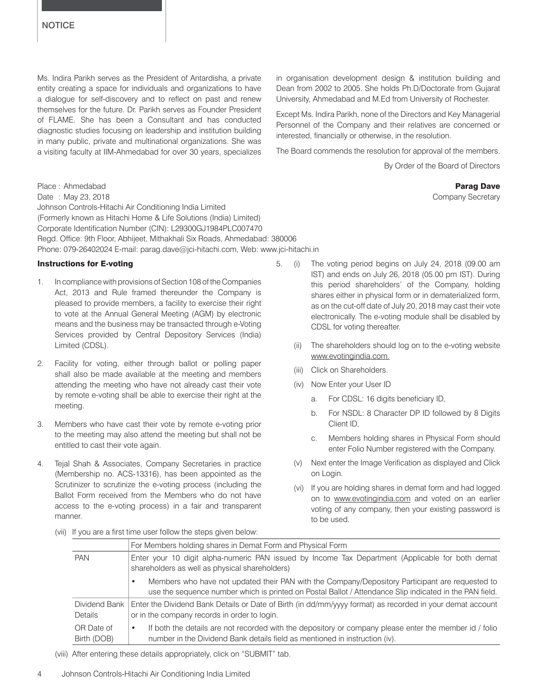Ms. Indira Parikh serves as the President of Antardisha, a private entity creating a space for individuals and organizations to have a dialogue for self-discovery and to reflect on past and renew themselves for the future. Dr. Parikh serves as Founder President of FLAME. She has been a Consultant and has conducted diagnostic studies focusing on leadership and institution building in many public, private and multinational organizations. She was a visiting faculty at IIM-Ahmedabad for over 30 years, specializes in organisation development design & institution building and Dean from 2002 to 2005. She holds Ph.D/Doctorate from Gujarat University, Ahmedabad and M.Ed from University of Rochester.

Except Ms. Indira Parikh, none of the Directors and Key Managerial Personnel of the Company and their relatives are concerned or interested, financially or otherwise, in the resolution.

The Board commends the resolution for approval of the members.

By Order of the Board of Directors

Place : Ahmedabad **Parag Dave Parag Dave Parag Dave Parag Dave Parag Dave Parag Dave Parag Dave Parag Dave Parag Dave Parag Dave Parag Dave Parag Dave Parag Dave Parag Dave Parag Dave Parag Dave Parag Dave Parag Dave Parag** Date : May 23, 2018 **Company Secretary** 23, 2018 Johnson Controls-Hitachi Air Conditioning India Limited (Formerly known as Hitachi Home & Life Solutions (India) Limited) Corporate Identification Number (CIN): L29300GJ1984PLC007470 Regd. Office: 9th Floor, Abhijeet, Mithakhali Six Roads, Ahmedabad: 380006 Phone: 079-26402024 E-mail: parag.dave@jci-hitachi.com, Web: www.jci-hitachi.in

#### Instructions for E-voting

- 1. In compliance with provisions of Section 108 of the Companies Act, 2013 and Rule framed thereunder the Company is pleased to provide members, a facility to exercise their right to vote at the Annual General Meeting (AGM) by electronic means and the business may be transacted through e-Voting Services provided by Central Depository Services (India) Limited (CDSL).
- 2. Facility for voting, either through ballot or polling paper shall also be made available at the meeting and members attending the meeting who have not already cast their vote by remote e-voting shall be able to exercise their right at the meeting.
- 3. Members who have cast their vote by remote e-voting prior to the meeting may also attend the meeting but shall not be entitled to cast their vote again.
- 4. Tejal Shah & Associates, Company Secretaries in practice (Membership no. ACS-13316), has been appointed as the Scrutinizer to scrutinize the e-voting process (including the Ballot Form received from the Members who do not have access to the e-voting process) in a fair and transparent manner.
- 5. (i) The voting period begins on July 24, 2018 (09.00 am IST) and ends on July 26, 2018 (05.00 pm IST). During this period shareholders' of the Company, holding shares either in physical form or in dematerialized form, as on the cut-off date of July 20, 2018 may cast their vote electronically. The e-voting module shall be disabled by CDSL for voting thereafter.
	- (ii) The shareholders should log on to the e-voting website www.evotingindia.com.
	- (iii) Click on Shareholders.
	- (iv) Now Enter your User ID
		- a. For CDSL: 16 digits beneficiary ID,
		- b. For NSDL: 8 Character DP ID followed by 8 Digits Client ID,
		- c. Members holding shares in Physical Form should enter Folio Number registered with the Company.
	- (v) Next enter the Image Verification as displayed and Click on Login.
	- (vi) If you are holding shares in demat form and had logged on to www.evotingindia.com and voted on an earlier voting of any company, then your existing password is to be used.
- (vii) If you are a first time user follow the steps given below:

|                           | For Members holding shares in Demat Form and Physical Form                                                                                                                                                              |
|---------------------------|-------------------------------------------------------------------------------------------------------------------------------------------------------------------------------------------------------------------------|
| <b>PAN</b>                | Enter your 10 digit alpha-numeric PAN issued by Income Tax Department (Applicable for both demat<br>shareholders as well as physical shareholders)                                                                      |
|                           | Members who have not updated their PAN with the Company/Depository Participant are requested to<br>$\bullet$<br>use the sequence number which is printed on Postal Ballot / Attendance Slip indicated in the PAN field. |
| Dividend Bank<br>Details  | Enter the Dividend Bank Details or Date of Birth (in dd/mm/yyyy format) as recorded in your demat account<br>or in the company records in order to login.                                                               |
| OR Date of<br>Birth (DOB) | If both the details are not recorded with the depository or company please enter the member id / folio<br>$\bullet$<br>number in the Dividend Bank details field as mentioned in instruction (iv).                      |

(viii) After entering these details appropriately, click on "SUBMIT" tab.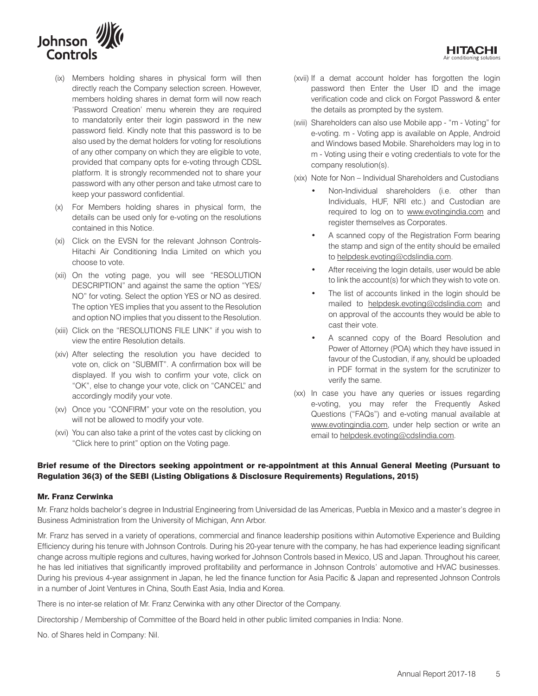

- (ix) Members holding shares in physical form will then directly reach the Company selection screen. However, members holding shares in demat form will now reach 'Password Creation' menu wherein they are required to mandatorily enter their login password in the new password field. Kindly note that this password is to be also used by the demat holders for voting for resolutions of any other company on which they are eligible to vote, provided that company opts for e-voting through CDSL platform. It is strongly recommended not to share your password with any other person and take utmost care to keep your password confidential.
- (x) For Members holding shares in physical form, the details can be used only for e-voting on the resolutions contained in this Notice.
- (xi) Click on the EVSN for the relevant Johnson Controls-Hitachi Air Conditioning India Limited on which you choose to vote.
- (xii) On the voting page, you will see "RESOLUTION DESCRIPTION" and against the same the option "YES/ NO" for voting. Select the option YES or NO as desired. The option YES implies that you assent to the Resolution and option NO implies that you dissent to the Resolution.
- (xiii) Click on the "RESOLUTIONS FILE LINK" if you wish to view the entire Resolution details.
- (xiv) After selecting the resolution you have decided to vote on, click on "SUBMIT". A confirmation box will be displayed. If you wish to confirm your vote, click on "OK", else to change your vote, click on "CANCEL" and accordingly modify your vote.
- (xv) Once you "CONFIRM" your vote on the resolution, you will not be allowed to modify your vote.
- (xvi) You can also take a print of the votes cast by clicking on "Click here to print" option on the Voting page.
- (xvii) If a demat account holder has forgotten the login password then Enter the User ID and the image verification code and click on Forgot Password & enter the details as prompted by the system.
- (xviii) Shareholders can also use Mobile app "m Voting" for e-voting. m - Voting app is available on Apple, Android and Windows based Mobile. Shareholders may log in to m - Voting using their e voting credentials to vote for the company resolution(s).
- (xix) Note for Non Individual Shareholders and Custodians
	- • Non-Individual shareholders (i.e. other than Individuals, HUF, NRI etc.) and Custodian are required to log on to www.evotingindia.com and register themselves as Corporates.
	- • A scanned copy of the Registration Form bearing the stamp and sign of the entity should be emailed to helpdesk.evoting@cdslindia.com.
	- After receiving the login details, user would be able to link the account(s) for which they wish to vote on.
	- The list of accounts linked in the login should be mailed to helpdesk.evoting@cdslindia.com and on approval of the accounts they would be able to cast their vote.
	- • A scanned copy of the Board Resolution and Power of Attorney (POA) which they have issued in favour of the Custodian, if any, should be uploaded in PDF format in the system for the scrutinizer to verify the same.
- (xx) In case you have any queries or issues regarding e-voting, you may refer the Frequently Asked Questions ("FAQs") and e-voting manual available at www.evotingindia.com, under help section or write an email to helpdesk.evoting@cdslindia.com.

# Brief resume of the Directors seeking appointment or re-appointment at this Annual General Meeting (Pursuant to Regulation 36(3) of the SEBI (Listing Obligations & Disclosure Requirements) Regulations, 2015)

#### Mr. Franz Cerwinka

Mr. Franz holds bachelor's degree in Industrial Engineering from Universidad de las Americas, Puebla in Mexico and a master's degree in Business Administration from the University of Michigan, Ann Arbor.

Mr. Franz has served in a variety of operations, commercial and finance leadership positions within Automotive Experience and Building Efficiency during his tenure with Johnson Controls. During his 20-year tenure with the company, he has had experience leading significant change across multiple regions and cultures, having worked for Johnson Controls based in Mexico, US and Japan. Throughout his career, he has led initiatives that significantly improved profitability and performance in Johnson Controls' automotive and HVAC businesses. During his previous 4-year assignment in Japan, he led the finance function for Asia Pacific & Japan and represented Johnson Controls in a number of Joint Ventures in China, South East Asia, India and Korea.

There is no inter-se relation of Mr. Franz Cerwinka with any other Director of the Company.

Directorship / Membership of Committee of the Board held in other public limited companies in India: None.

No. of Shares held in Company: Nil.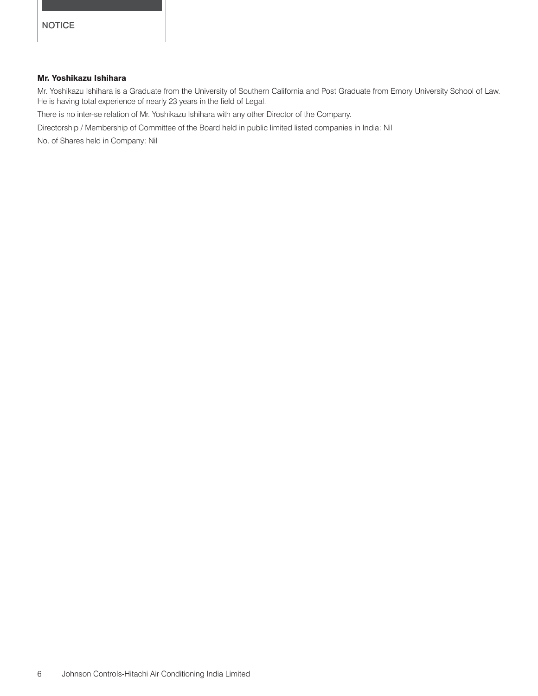# Mr. Yoshikazu Ishihara

Mr. Yoshikazu Ishihara is a Graduate from the University of Southern California and Post Graduate from Emory University School of Law. He is having total experience of nearly 23 years in the field of Legal.

There is no inter-se relation of Mr. Yoshikazu Ishihara with any other Director of the Company.

Directorship / Membership of Committee of the Board held in public limited listed companies in India: Nil

No. of Shares held in Company: Nil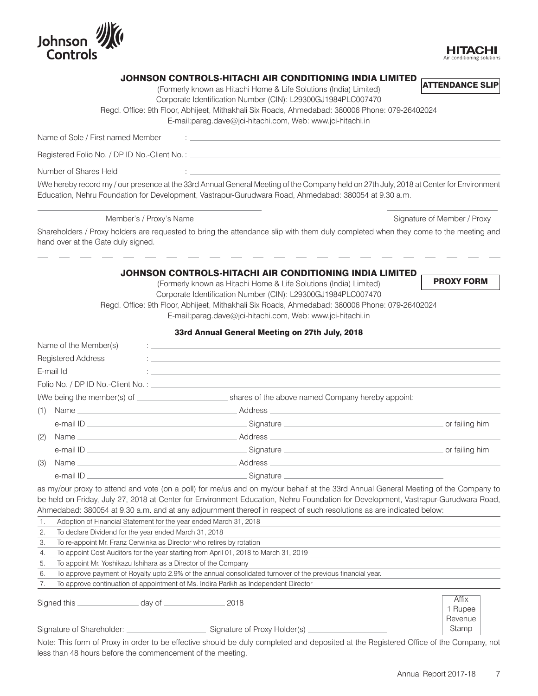

#### JOHNSON CONTROLS-HITACHI AIR CONDITIONING INDIA LIMITED ATTENDANCE SLIP

(Formerly known as Hitachi Home & Life Solutions (India) Limited)

Corporate Identification Number (CIN): L29300GJ1984PLC007470

Regd. Office: 9th Floor, Abhijeet, Mithakhali Six Roads, Ahmedabad: 380006 Phone: 079-26402024

#### E-mail:parag.dave@jci-hitachi.com, Web: www.jci-hitachi.in

Name of Sole / First named Member :

Registered Folio No. / DP ID No.-Client No. :

Number of Shares Held :

I/We hereby record my / our presence at the 33rd Annual General Meeting of the Company held on 27th July, 2018 at Center for Environment Education, Nehru Foundation for Development, Vastrapur-Gurudwara Road, Ahmedabad: 380054 at 9.30 a.m.

Member's / Proxy's Name Signature of Member / Proxy

Shareholders / Proxy holders are requested to bring the attendance slip with them duly completed when they come to the meeting and hand over at the Gate duly signed.

#### JOHNSON CONTROLS-HITACHI AIR CONDITIONING INDIA LIMITED (Formerly known as Hitachi Home & Life Solutions (India) Limited)

PROXY FORM

HITAC

Corporate Identification Number (CIN): L29300GJ1984PLC007470

Regd. Office: 9th Floor, Abhijeet, Mithakhali Six Roads, Ahmedabad: 380006 Phone: 079-26402024

E-mail:parag.dave@jci-hitachi.com, Web: www.jci-hitachi.in

# 33rd Annual General Meeting on 27th July, 2018

|                                                             | Name of the Member(s)     |                                                                                                                                                                                                                                |                |
|-------------------------------------------------------------|---------------------------|--------------------------------------------------------------------------------------------------------------------------------------------------------------------------------------------------------------------------------|----------------|
|                                                             | <b>Registered Address</b> |                                                                                                                                                                                                                                |                |
|                                                             | E-mail Id                 | <u> 1980 - Andrea Andrew Maria (h. 1980).</u><br>Nobel de Andrew Maria (h. 1980).                                                                                                                                              |                |
|                                                             |                           |                                                                                                                                                                                                                                |                |
| I/We being the member(s) of $\sqrt{\frac{1}{1-\frac{1}{2}}$ |                           | shares of the above named Company hereby appoint:                                                                                                                                                                              |                |
| (1)                                                         |                           |                                                                                                                                                                                                                                |                |
|                                                             |                           |                                                                                                                                                                                                                                | or failing him |
| (2)                                                         |                           | Address experiences and the series of the series of the series of the series of the series of the series of the series of the series of the series of the series of the series of the series of the series of the series of th |                |
|                                                             | e-mail ID                 |                                                                                                                                                                                                                                | or failing him |
| (3)                                                         |                           | Address experiences and the series of the series of the series of the series of the series of the series of the series of the series of the series of the series of the series of the series of the series of the series of th |                |
|                                                             | e-mail ID ______________  | Signature ____________                                                                                                                                                                                                         |                |

as my/our proxy to attend and vote (on a poll) for me/us and on my/our behalf at the 33rd Annual General Meeting of the Company to be held on Friday, July 27, 2018 at Center for Environment Education, Nehru Foundation for Development, Vastrapur-Gurudwara Road, Ahmedabad: 380054 at 9.30 a.m. and at any adjournment thereof in respect of such resolutions as are indicated below:

|    | Adoption of Financial Statement for the year ended March 31, 2018                                           |                             |  |  |  |
|----|-------------------------------------------------------------------------------------------------------------|-----------------------------|--|--|--|
|    | To declare Dividend for the year ended March 31, 2018                                                       |                             |  |  |  |
| 3. | To re-appoint Mr. Franz Cerwinka as Director who retires by rotation                                        |                             |  |  |  |
| 4. | To appoint Cost Auditors for the year starting from April 01, 2018 to March 31, 2019                        |                             |  |  |  |
| 5. | To appoint Mr. Yoshikazu Ishihara as a Director of the Company                                              |                             |  |  |  |
| 6. | To approve payment of Royalty upto 2.9% of the annual consolidated turnover of the previous financial year. |                             |  |  |  |
|    | To approve continuation of appointment of Ms. Indira Parikh as Independent Director                         |                             |  |  |  |
|    | $.$ day of $\_\_\_\_\_\_\_\_\_\_\_\_\_$<br>2018                                                             | Affix<br>1 Rupee<br>Revenue |  |  |  |
|    | Signature of Shareholder: _<br>Signature of Proxy Holder(s).                                                | Stamp                       |  |  |  |

Note: This form of Proxy in order to be effective should be duly completed and deposited at the Registered Office of the Company, not less than 48 hours before the commencement of the meeting.